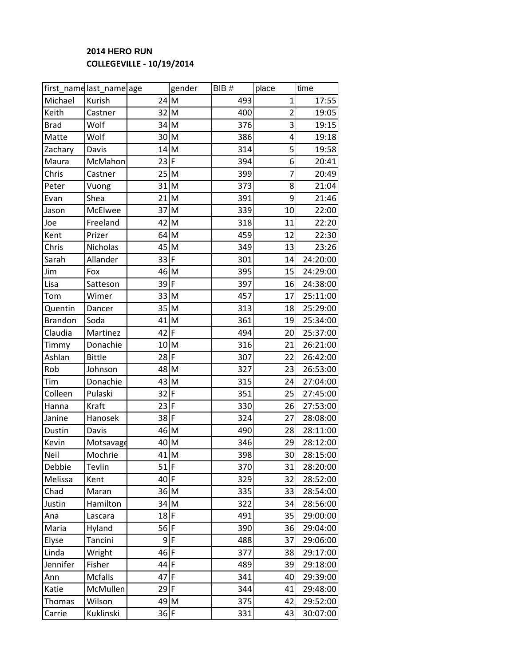## **2014 HERO RUN COLLEGEVILLE - 10/19/2014**

|                | first_namelast_namelage |        | gender | BIB# | place          | time     |
|----------------|-------------------------|--------|--------|------|----------------|----------|
| Michael        | Kurish                  | 24     | M      | 493  | $\mathbf{1}$   | 17:55    |
| Keith          | Castner                 | 32     | M      | 400  | $\overline{2}$ | 19:05    |
| <b>Brad</b>    | Wolf                    | $34$ M |        | 376  | 3              | 19:15    |
| Matte          | Wolf                    | 30     | M      | 386  | 4              | 19:18    |
| Zachary        | Davis                   | 14     | lм     | 314  | 5              | 19:58    |
| Maura          | McMahon                 | 23     | F      | 394  | 6              | 20:41    |
| Chris          | Castner                 | 25     | M      | 399  | 7              | 20:49    |
| Peter          | Vuong                   | 31     | M      | 373  | 8              | 21:04    |
| Evan           | Shea                    | 21     | M      | 391  | 9              | 21:46    |
| Jason          | McElwee                 | 37     | M      | 339  | 10             | 22:00    |
| Joe            | Freeland                | 42     | M      | 318  | 11             | 22:20    |
| Kent           | Prizer                  | 64     | M      | 459  | 12             | 22:30    |
| Chris          | Nicholas                | 45     | M      | 349  | 13             | 23:26    |
| Sarah          | Allander                | 33     | F      | 301  | 14             | 24:20:00 |
| Jim            | Fox                     | 46 M   |        | 395  | 15             | 24:29:00 |
| Lisa           | Satteson                | 39     | F      | 397  | 16             | 24:38:00 |
| Tom            | Wimer                   | 33     | M      | 457  | 17             | 25:11:00 |
| Quentin        | Dancer                  | 35     | M      | 313  | 18             | 25:29:00 |
| <b>Brandon</b> | Soda                    | 41     | M      | 361  | 19             | 25:34:00 |
| Claudia        | Martinez                | 42     | F      | 494  | 20             | 25:37:00 |
| Timmy          | Donachie                | 10     | M      | 316  | 21             | 26:21:00 |
| Ashlan         | <b>Bittle</b>           | 28     | F      | 307  | 22             | 26:42:00 |
| Rob            | Johnson                 | 48 M   |        | 327  | 23             | 26:53:00 |
| Tim            | Donachie                | 43     | M      | 315  | 24             | 27:04:00 |
| Colleen        | Pulaski                 | 32     | F      | 351  | 25             | 27:45:00 |
| Hanna          | Kraft                   | 23     | F      | 330  | 26             | 27:53:00 |
| Janine         | Hanosek                 | 38     | F      | 324  | 27             | 28:08:00 |
| Dustin         | Davis                   | 46     | M      | 490  | 28             | 28:11:00 |
| Kevin          | Motsavage               | 40     | M      | 346  | 29             | 28:12:00 |
| Neil           | Mochrie                 | $41$ M |        | 398  | 30             | 28:15:00 |
| Debbie         | Tevlin                  | $51$ F |        | 370  | 31             | 28:20:00 |
| Melissa        | Kent                    | 40     | F      | 329  | 32             | 28:52:00 |
| Chad           | Maran                   | 36     | M      | 335  | 33             | 28:54:00 |
| Justin         | Hamilton                | $34$ M |        | 322  | 34             | 28:56:00 |
| Ana            | Lascara                 | $18$ F |        | 491  | 35             | 29:00:00 |
| Maria          | Hyland                  | 56 F   |        | 390  | 36             | 29:04:00 |
| Elyse          | Tancini                 | 9      | F      | 488  | 37             | 29:06:00 |
| Linda          | Wright                  | 46     | F      | 377  | 38             | 29:17:00 |
| Jennifer       | Fisher                  | 44     | F      | 489  | 39             | 29:18:00 |
| Ann            | Mcfalls                 | 47     | F      | 341  | 40             | 29:39:00 |
| Katie          | McMullen                | 29     | I۴     | 344  | 41             | 29:48:00 |
| <b>Thomas</b>  | Wilson                  | 49 M   |        | 375  | 42             | 29:52:00 |
| Carrie         | Kuklinski               | $36$ F |        | 331  | 43             | 30:07:00 |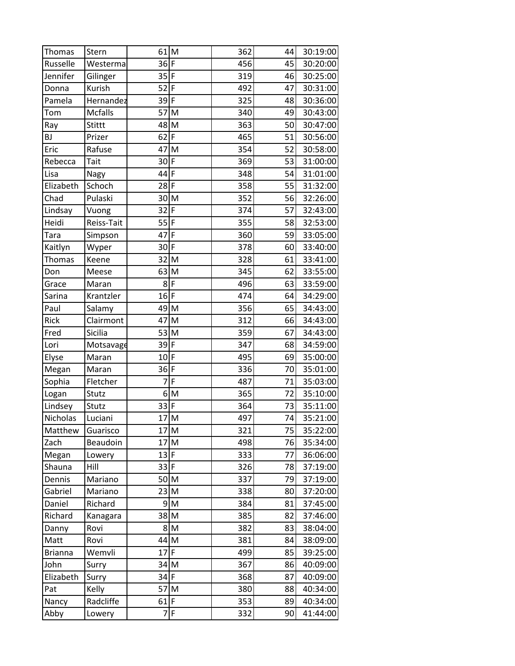| <b>Thomas</b>  | Stern         | 61             | M              | 362 | 44 | 30:19:00 |
|----------------|---------------|----------------|----------------|-----|----|----------|
| Russelle       | Westerma      | $36$ F         |                | 456 | 45 | 30:20:00 |
| Jennifer       | Gilinger      | $35$ F         |                | 319 | 46 | 30:25:00 |
| Donna          | <b>Kurish</b> | 52             | F              | 492 | 47 | 30:31:00 |
| Pamela         | Hernandez     | 39             | $\overline{F}$ | 325 | 48 | 30:36:00 |
| Tom            | Mcfalls       | 57             | M              | 340 | 49 | 30:43:00 |
| Ray            | Stittt        | 48 M           |                | 363 | 50 | 30:47:00 |
| <b>BJ</b>      | Prizer        | 62             | F              | 465 | 51 | 30:56:00 |
| Eric           | Rafuse        | 47             | M              | 354 | 52 | 30:58:00 |
| Rebecca        | Tait          | 30 F           |                | 369 | 53 | 31:00:00 |
| Lisa           | Nagy          | 44 F           |                | 348 | 54 | 31:01:00 |
| Elizabeth      | Schoch        | 28 F           |                | 358 | 55 | 31:32:00 |
| Chad           | Pulaski       | 30             | M              | 352 | 56 | 32:26:00 |
| Lindsay        | Vuong         | 32             | F              | 374 | 57 | 32:43:00 |
| Heidi          | Reiss-Tait    | 55             | F              | 355 | 58 | 32:53:00 |
| Tara           | Simpson       | 47             | F              | 360 | 59 | 33:05:00 |
| Kaitlyn        | Wyper         | $30$ F         |                | 378 | 60 | 33:40:00 |
| <b>Thomas</b>  | Keene         | 32             | M              | 328 | 61 | 33:41:00 |
| Don            | Meese         | 63             | M              | 345 | 62 | 33:55:00 |
| Grace          | Maran         | 8              | F              | 496 | 63 | 33:59:00 |
| Sarina         | Krantzler     | 16             | F              | 474 | 64 | 34:29:00 |
| Paul           | Salamy        | 49 M           |                | 356 | 65 | 34:43:00 |
| Rick           | Clairmont     | 47             | M              | 312 | 66 | 34:43:00 |
| Fred           | Sicilia       | 53             | M              | 359 | 67 | 34:43:00 |
| Lori           | Motsavage     | 39             | F              | 347 | 68 | 34:59:00 |
| Elyse          | Maran         | 10             | $\overline{F}$ | 495 | 69 | 35:00:00 |
| Megan          | Maran         | 36             | F              | 336 | 70 | 35:01:00 |
| Sophia         | Fletcher      | $\overline{7}$ | $\overline{F}$ | 487 | 71 | 35:03:00 |
| Logan          | Stutz         | $\overline{6}$ | M              | 365 | 72 | 35:10:00 |
| Lindsey        | Stutz         | 33             | F              | 364 | 73 | 35:11:00 |
| Nicholas       | Luciani       | 17 M           |                | 497 | 74 | 35:21:00 |
| Matthew        | Guarisco      | 17 M           |                | 321 | 75 | 35:22:00 |
| Zach           | Beaudoin      | 17             | M              | 498 | 76 | 35:34:00 |
| Megan          | Lowery        | $13$ F         |                | 333 | 77 | 36:06:00 |
| Shauna         | Hill          | 33 F           |                | 326 | 78 | 37:19:00 |
| Dennis         | Mariano       | 50M            |                | 337 | 79 | 37:19:00 |
| Gabriel        | Mariano       | 23 M           |                | 338 | 80 | 37:20:00 |
| Daniel         | Richard       |                | $9\vert M$     | 384 | 81 | 37:45:00 |
| Richard        | Kanagara      | 38 M           |                | 385 | 82 | 37:46:00 |
| Danny          | Rovi          |                | $8\vert M$     | 382 | 83 | 38:04:00 |
| Matt           | Rovi          | 44 M           |                | 381 | 84 | 38:09:00 |
| <b>Brianna</b> | Wemvli        | 17             | I۴             | 499 | 85 | 39:25:00 |
| John           | Surry         | 34 M           |                | 367 | 86 | 40:09:00 |
| Elizabeth      | Surry         | $34$ F         |                | 368 | 87 | 40:09:00 |
| Pat            | Kelly         | 57             | M              | 380 | 88 | 40:34:00 |
| Nancy          | Radcliffe     | $61$ F         |                | 353 | 89 | 40:34:00 |
| Abby           | Lowery        | $\overline{7}$ | F              | 332 | 90 | 41:44:00 |